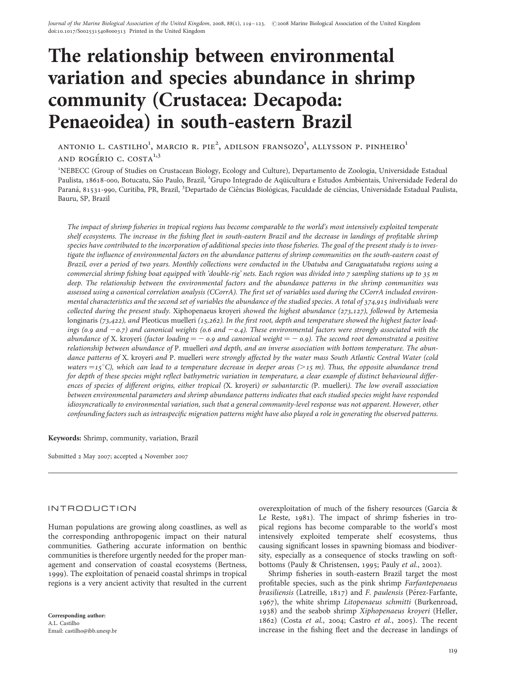# The relationship between environmental variation and species abundance in shrimp community (Crustacea: Decapoda: Penaeoidea) in south-eastern Brazil

ANTONIO L. CASTILHO $^1$ , MARCIO R. PIE $^2$ , ADILSON FRANSOZO $^1$ , ALLYSSON P. PINHEIRO $^1$ AND ROGÉRIO C. COSTA<sup>1,3</sup>

1 NEBECC (Group of Studies on Crustacean Biology, Ecology and Culture), Departamento de Zoologia, Universidade Estadual Paulista, 18618-000, Botucatu, São Paulo, Brazil, <sup>2</sup>Grupo Integrado de Aqüicultura e Estudos Ambientais, Universidade Federal do Paraná, 81531-990, Curitiba, PR, Brazil, <sup>3</sup>Departado de Ciências Biológicas, Faculdade de ciências, Universidade Estadual Paulista, Bauru, SP, Brazil

The impact of shrimp fisheries in tropical regions has become comparable to the world's most intensively exploited temperate shelf ecosystems. The increase in the fishing fleet in south-eastern Brazil and the decrease in landings of profitable shrimp species have contributed to the incorporation of additional species into those fisheries. The goal of the present study is to investigate the influence of environmental factors on the abundance patterns of shrimp communities on the south-eastern coast of Brazil, over a period of two years. Monthly collections were conducted in the Ubatuba and Caraguatatuba regions using a commercial shrimp fishing boat equipped with 'double-rig' nets. Each region was divided into 7 sampling stations up to 35 m deep. The relationship between the environmental factors and the abundance patterns in the shrimp communities was assessed using a canonical correlation analysis (CCorrA). The first set of variables used during the CCorrA included environmental characteristics and the second set of variables the abundance of the studied species. A total of 374,915 individuals were collected during the present study. Xiphopenaeus kroyeri showed the highest abundance (273,127), followed by Artemesia longinaris ( $73,422$ ), and Pleoticus muelleri ( $15,262$ ). In the first root, depth and temperature showed the highest factor loadings (0.9 and  $-0.7$ ) and canonical weights (0.6 and  $-0.4$ ). These environmental factors were strongly associated with the abundance of X. kroyeri (factor loading  $= -0.9$  and canonical weight  $= -0.9$ ). The second root demonstrated a positive relationship between abundance of P. muelleri and depth, and an inverse association with bottom temperature. The abundance patterns of X. kroyeri and P. muelleri were strongly affected by the water mass South Atlantic Central Water (cold waters  $=15^{\circ}$ C), which can lead to a temperature decrease in deeper areas (>15 m). Thus, the opposite abundance trend for depth of these species might reflect bathymetric variation in temperature, a clear example of distinct behavioural differences of species of different origins, either tropical (X. kroyeri) or subantarctic (P. muelleri). The low overall association between environmental parameters and shrimp abundance patterns indicates that each studied species might have responded idiosyncratically to environmental variation, such that a general community-level response was not apparent. However, other confounding factors such as intraspecific migration patterns might have also played a role in generating the observed patterns.

Keywords: Shrimp, community, variation, Brazil

Submitted 2 May 2007; accepted 4 November 2007

# INTRODUCTION

Human populations are growing along coastlines, as well as the corresponding anthropogenic impact on their natural communities. Gathering accurate information on benthic communities is therefore urgently needed for the proper management and conservation of coastal ecosystems (Bertness, 1999). The exploitation of penaeid coastal shrimps in tropical regions is a very ancient activity that resulted in the current

Corresponding author: A.L. Castilho Email: castilho@ibb.unesp.br overexploitation of much of the fishery resources (Garcia & Le Reste, 1981). The impact of shrimp fisheries in tropical regions has become comparable to the world's most intensively exploited temperate shelf ecosystems, thus causing significant losses in spawning biomass and biodiversity, especially as a consequence of stocks trawling on softbottoms (Pauly & Christensen, 1995; Pauly et al., 2002).

Shrimp fisheries in south-eastern Brazil target the most profitable species, such as the pink shrimp Farfantepenaeus  $brasiliensis$  (Latreille, 1817) and F. paulensis (Pérez-Farfante, 1967), the white shrimp Litopenaeus schmitti (Burkenroad, 1938) and the seabob shrimp Xiphopenaeus kroyeri (Heller, 1862) (Costa et al., 2004; Castro et al., 2005). The recent increase in the fishing fleet and the decrease in landings of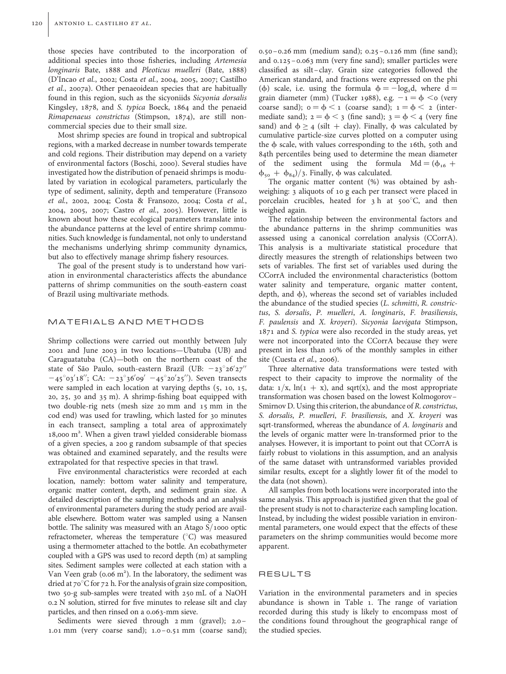those species have contributed to the incorporation of additional species into those fisheries, including Artemesia longinaris Bate, 1888 and Pleoticus muelleri (Bate, 1888) (D'Incao et al., 2002; Costa et al., 2004, 2005, 2007; Castilho et al., 2007a). Other penaeoidean species that are habitually found in this region, such as the sicyoniids Sicyonia dorsalis Kingsley, 1878, and S. typica Boeck, 1864 and the penaeid Rimapenaeus constrictus (Stimpson, 1874), are still noncommercial species due to their small size.

Most shrimp species are found in tropical and subtropical regions, with a marked decrease in number towards temperate and cold regions. Their distribution may depend on a variety of environmental factors (Boschi, 2000). Several studies have investigated how the distribution of penaeid shrimps is modulated by variation in ecological parameters, particularly the type of sediment, salinity, depth and temperature (Fransozo et al., 2002, 2004; Costa & Fransozo, 2004; Costa et al., 2004, 2005, 2007; Castro et al., 2005). However, little is known about how these ecological parameters translate into the abundance patterns at the level of entire shrimp communities. Such knowledge is fundamental, not only to understand the mechanisms underlying shrimp community dynamics, but also to effectively manage shrimp fishery resources.

The goal of the present study is to understand how variation in environmental characteristics affects the abundance patterns of shrimp communities on the south-eastern coast of Brazil using multivariate methods.

# MATERIALS AND METHODS

Shrimp collections were carried out monthly between July 2001 and June 2003 in two locations—Ubatuba (UB) and Caraguatatuba (CA)—both on the northern coast of the state of São Paulo, south-eastern Brazil (UB:  $-23^{\circ}26'27''$  $-45^{\circ}$ 03'18"; CA:  $-23^{\circ}$ 36'09'  $-45^{\circ}$ 20'25"). Seven transects were sampled in each location at varying depths (5, 10, 15, 20, 25, 30 and 35 m). A shrimp-fishing boat equipped with two double-rig nets (mesh size 20 mm and 15 mm in the cod end) was used for trawling, which lasted for 30 minutes in each transect, sampling a total area of approximately 18,000 m<sup>2</sup>. When a given trawl yielded considerable biomass of a given species, a 200 g random subsample of that species was obtained and examined separately, and the results were extrapolated for that respective species in that trawl.

Five environmental characteristics were recorded at each location, namely: bottom water salinity and temperature, organic matter content, depth, and sediment grain size. A detailed description of the sampling methods and an analysis of environmental parameters during the study period are available elsewhere. Bottom water was sampled using a Nansen bottle. The salinity was measured with an Atago  $S/1000$  optic refractometer, whereas the temperature  $(^\circ C)$  was measured using a thermometer attached to the bottle. An ecobathymeter coupled with a GPS was used to record depth (m) at sampling sites. Sediment samples were collected at each station with a Van Veen grab ( $0.06$  m<sup>2</sup>). In the laboratory, the sediment was dried at  $70^{\circ}$ C for 72 h. For the analysis of grain size composition, two 50-g sub-samples were treated with 250 mL of a NaOH 0.2 N solution, stirred for five minutes to release silt and clay particles, and then rinsed on a 0.063-mm sieve.

Sediments were sieved through 2 mm (gravel); 2.0– 1.01 mm (very coarse sand); 1.0 –0.51 mm (coarse sand);

0.50 –0.26 mm (medium sand); 0.25 –0.126 mm (fine sand); and 0.125 –0.063 mm (very fine sand); smaller particles were classified as silt– clay. Grain size categories followed the American standard, and fractions were expressed on the phi ( $\phi$ ) scale, i.e. using the formula  $\phi = -\log_2 d$ , where  $d =$ grain diameter (mm) (Tucker 1988), e.g.  $-1 = \phi < 0$  (very coarse sand);  $0 = \phi \le 1$  (coarse sand);  $1 = \phi \le 2$  (intermediate sand);  $2 = \phi \leq 3$  (fine sand);  $3 = \phi \leq 4$  (very fine sand) and  $\phi \geq 4$  (silt + clay). Finally,  $\phi$  was calculated by cumulative particle-size curves plotted on a computer using the  $\phi$  scale, with values corresponding to the 16th, 50th and 84th percentiles being used to determine the mean diameter of the sediment using the formula  $Md = (\phi_{16} +$  $\phi_{50} + \phi_{84}$ //3. Finally,  $\phi$  was calculated.

The organic matter content (%) was obtained by ashweighing: 3 aliquots of 10 g each per transect were placed in porcelain crucibles, heated for  $3 h$  at  $500^\circ$ C, and then weighed again.

The relationship between the environmental factors and the abundance patterns in the shrimp communities was assessed using a canonical correlation analysis (CCorrA). This analysis is a multivariate statistical procedure that directly measures the strength of relationships between two sets of variables. The first set of variables used during the CCorrA included the environmental characteristics (bottom water salinity and temperature, organic matter content, depth, and  $\phi$ ), whereas the second set of variables included the abundance of the studied species (L. schmitti, R. constrictus, S. dorsalis, P. muelleri, A. longinaris, F. brasiliensis, F. paulensis and X. kroyeri). Sicyonia laevigata Stimpson, 1871 and S. typica were also recorded in the study areas, yet were not incorporated into the CCorrA because they were present in less than 10% of the monthly samples in either site (Cuesta et al., 2006).

Three alternative data transformations were tested with respect to their capacity to improve the normality of the data:  $1/x$ ,  $ln(1 + x)$ , and sqrt(x), and the most appropriate transformation was chosen based on the lowest Kolmogorov– Smirnov D. Using this criterion, the abundance of R. constrictus, S. dorsalis, P. muelleri, F. brasiliensis, and X. kroyeri was sqrt-transformed, whereas the abundance of A. longinaris and the levels of organic matter were ln-transformed prior to the analyses. However, it is important to point out that CCorrA is fairly robust to violations in this assumption, and an analysis of the same dataset with untransformed variables provided similar results, except for a slightly lower fit of the model to the data (not shown).

All samples from both locations were incorporated into the same analysis. This approach is justified given that the goal of the present study is not to characterize each sampling location. Instead, by including the widest possible variation in environmental parameters, one would expect that the effects of these parameters on the shrimp communities would become more apparent.

#### RESULTS

Variation in the environmental parameters and in species abundance is shown in Table 1. The range of variation recorded during this study is likely to encompass most of the conditions found throughout the geographical range of the studied species.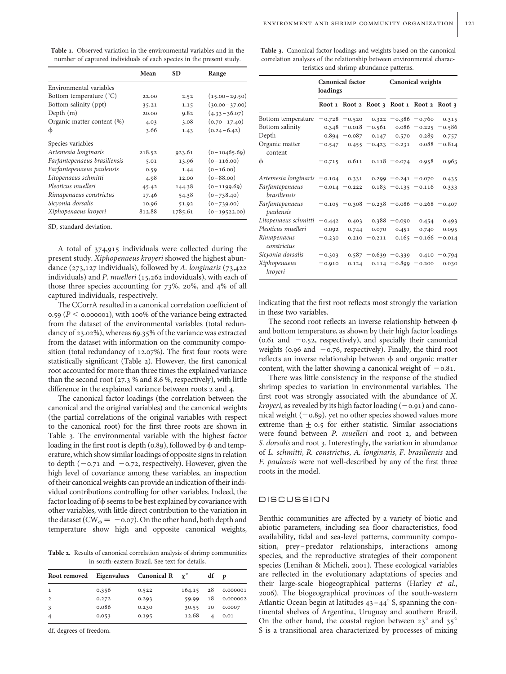Table 1. Observed variation in the environmental variables and in the number of captured individuals of each species in the present study.

|                                  | Mean   | <b>SD</b> | Range             |
|----------------------------------|--------|-----------|-------------------|
| Environmental variables          |        |           |                   |
| Bottom temperature $(^{\circ}C)$ | 22.00  | 2.52      | $(15.00 - 29.50)$ |
| Bottom salinity (ppt)            | 35.21  | 1.15      | $(30.00 - 37.00)$ |
| Depth $(m)$                      | 20.00  | 9.82      | $(4.33 - 36.07)$  |
| Organic matter content (%)       | 4.03   | 3.08      | $(0.70 - 17.40)$  |
| φ                                | 3.66   | 1.43      | $(0.24 - 6.42)$   |
| Species variables                |        |           |                   |
| Artemesia longinaris             | 218.52 | 923.61    | $(0-10465.69)$    |
| Farfantepenaeus brasiliensis     | 5.01   | 13.96     | $(0-116.00)$      |
| Farfantepenaeus paulensis        | 0.59   | 1.44      | $(0-16.00)$       |
| Litopenaeus schmitti             | 4.98   | 12.00     | $(o-88.00)$       |
| Pleoticus muelleri               | 45.42  | 144.38    | $(0-1199.69)$     |
| Rimapenaeus constrictus          | 17.46  | 54.38     | $(0-738.40)$      |
| Sicyonia dorsalis                | 10.96  | 51.92     | $(0-739.00)$      |
| Xiphopenaeus kroyeri             | 812.88 | 1785.61   | $(0-19522.00)$    |

SD, standard deviation.

A total of 374,915 individuals were collected during the present study. Xiphopenaeus kroyeri showed the highest abundance (273,127 individuals), followed by A. longinaris (73,422) individuals) and P. muelleri (15,262 indoviduals), with each of those three species accounting for 73%, 20%, and 4% of all captured individuals, respectively.

The CCorrA resulted in a canonical correlation coefficient of 0.59 ( $P \leq 0.000001$ ), with 100% of the variance being extracted from the dataset of the environmental variables (total redundancy of 23.02%), whereas 69.35% of the variance was extracted from the dataset with information on the community composition (total redundancy of 12.07%). The first four roots were statistically significant (Table 2). However, the first canonical root accounted for more than three times the explained variance than the second root (27.3 % and 8.6 %, respectively), with little difference in the explained variance between roots 2 and 4.

The canonical factor loadings (the correlation between the canonical and the original variables) and the canonical weights (the partial correlations of the original variables with respect to the canonical root) for the first three roots are shown in Table 3. The environmental variable with the highest factor loading in the first root is depth (0.89), followed by  $\phi$  and temperature, which show similar loadings of opposite signs in relation to depth  $(-0.71$  and  $-0.72$ , respectively). However, given the high level of covariance among these variables, an inspection of their canonical weights can provide an indication of their individual contributions controlling for other variables. Indeed, the factor loading of  $\phi$  seems to be best explained by covariance with other variables, with little direct contribution to the variation in the dataset (CW<sub> $\phi$ </sub> = -0.07). On the other hand, both depth and temperature show high and opposite canonical weights,

Table 2. Results of canonical correlation analysis of shrimp communities in south-eastern Brazil. See text for details.

| Root removed Eigenvalues Canonical R $\chi^2$ |       |       |        | df | D            |
|-----------------------------------------------|-------|-------|--------|----|--------------|
| $\mathbf{1}$                                  | 0.356 | 0.522 | 164.15 |    | 28  0.000001 |
| $\overline{2}$                                | 0.272 | 0.293 | 59.99  |    | 18  0.000002 |
| 3                                             | 0.086 | 0.230 | 30.55  | 10 | 0.0007       |
| $\overline{4}$                                | 0.053 | 0.195 | 12.68  | 4  | 0.01         |

df, degrees of freedom.

Table 3. Canonical factor loadings and weights based on the canonical correlation analyses of the relationship between environmental characteristics and shrimp abundance patterns.

|                                   | <b>Canonical factor</b><br>loadings |                       |          | <b>Canonical weights</b>                        |                         |       |  |
|-----------------------------------|-------------------------------------|-----------------------|----------|-------------------------------------------------|-------------------------|-------|--|
|                                   |                                     |                       |          | Root 1 Root 2 Root 3 Root 1 Root 2 Root 3       |                         |       |  |
| Bottom temperature                |                                     |                       |          | $-0.728 -0.520$ 0.322 $-0.386 -0.760$           |                         | 0.315 |  |
| Bottom salinity                   |                                     |                       |          | $0.348 - 0.018 - 0.561$ $0.086 - 0.225 - 0.586$ |                         |       |  |
| Depth                             |                                     | $0.894 - 0.087$ 0.147 |          |                                                 | 0.570 0.289             | 0.757 |  |
| Organic matter<br>content         |                                     |                       |          | $-0.547$ 0.455 $-0.423$ $-0.231$ 0.088 $-0.814$ |                         |       |  |
| ф                                 |                                     | $-0.715$ 0.611        |          | $0.118 - 0.074$                                 | 0.958                   | 0.963 |  |
| Artemesia longinaris -0.104 0.331 |                                     |                       |          | $0.299 - 0.241 - 0.070$                         |                         | 0.435 |  |
| Farfantepenaeus<br>brasiliensis   |                                     | $-0.014 - 0.222$      |          | $0.183 - 0.135 - 0.116$                         |                         | 0.333 |  |
| Farfantepenaeus<br>paulensis      |                                     |                       |          | $-0.105 -0.308 -0.238 -0.086 -0.268 -0.407$     |                         |       |  |
| Litopenaeus schmitti              | $-0.442$                            | 0.403                 |          | $0.388 - 0.090$                                 | 0.454                   | 0.493 |  |
| Pleoticus muelleri                | 0.092                               | 0.744                 | 0.070    | 0.451                                           | 0.740                   | 0.095 |  |
| Rimapenaeus<br>constrictus        | $-0.230$                            | 0.210                 | $-0.211$ |                                                 | $0.165 - 0.166 - 0.014$ |       |  |
| Sicyonia dorsalis                 | $-0.303$                            |                       |          | $0.587 - 0.639 - 0.339$ 0.410 - 0.794           |                         |       |  |
| Xiphopenaeus<br>kroyeri           | $-0.910$                            | 0.124                 |          | $0.114 - 0.899 - 0.200$                         |                         | 0.030 |  |

indicating that the first root reflects most strongly the variation in these two variables.

The second root reflects an inverse relationship between  $\phi$ and bottom temperature, as shown by their high factor loadings  $(0.61$  and  $-0.52$ , respectively), and specially their canonical weights (0.96 and  $-$ 0.76, respectively). Finally, the third root reflects an inverse relationship between  $\phi$  and organic matter content, with the latter showing a canonical weight of  $-0.81$ .

There was little consistency in the response of the studied shrimp species to variation in environmental variables. The first root was strongly associated with the abundance of X. kroyeri, as revealed by its high factor loading  $(-0.91)$  and canonical weight  $(-0.89)$ , yet no other species showed values more extreme than  $+$  0.5 for either statistic. Similar associations were found between P. muelleri and root 2, and between S. dorsalis and root 3. Interestingly, the variation in abundance of L. schmitti, R. constrictus, A. longinaris, F. brasiliensis and F. paulensis were not well-described by any of the first three roots in the model.

### DISCUSSION

Benthic communities are affected by a variety of biotic and abiotic parameters, including sea floor characteristics, food availability, tidal and sea-level patterns, community composition, prey – predator relationships, interactions among species, and the reproductive strategies of their component species (Lenihan & Micheli, 2001). These ecological variables are reflected in the evolutionary adaptations of species and their large-scale biogeographical patterns (Harley et al., 2006). The biogeographical provinces of the south-western Atlantic Ocean begin at latitudes  $43 - 44^\circ$  S, spanning the continental shelves of Argentina, Uruguay and southern Brazil. On the other hand, the coastal region between  $23^\circ$  and  $35^\circ$ S is a transitional area characterized by processes of mixing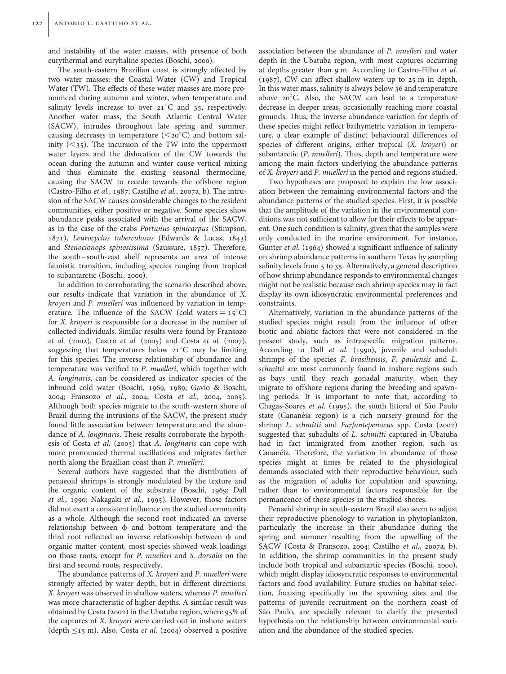and instability of the water masses, with presence of both eurythermal and euryhaline species (Boschi, 2000).

The south-eastern Brazilian coast is strongly affected by two water masses: the Coastal Water (CW) and Tropical Water (TW). The effects of these water masses are more pronounced during autumn and winter, when temperature and salinity levels increase to over  $21^{\circ}$ C and 35, respectively. Another water mass, the South Atlantic Central Water (SACW), intrudes throughout late spring and summer, causing decreases in temperature  $(<\sim 20^{\circ}C$ ) and bottom salinity  $( $35$ ). The incursion of the TW into the uppermost$ water layers and the dislocation of the CW towards the ocean during the autumn and winter cause vertical mixing and thus eliminate the existing seasonal thermocline, causing the SACW to recede towards the offshore region (Castro-Filho et al., 1987; Castilho et al., 2007a, b). The intrusion of the SACW causes considerable changes to the resident communities, either positive or negative. Some species show abundance peaks associated with the arrival of the SACW, as in the case of the crabs Portunus spinicarpus (Stimpson, 1871), Leurocyclus tuberculosus (Edwards & Lucas, 1843) and Stenocionops spinosissima (Saussure, 1857). Therefore, the south – south-east shelf represents an area of intense faunistic transition, including species ranging from tropical to subantarctic (Boschi, 2000).

In addition to corroborating the scenario described above, our results indicate that variation in the abundance of X. kroyeri and P. muelleri was influenced by variation in temperature. The influence of the SACW (cold waters  $= 15^{\circ}$ C) for X. kroyeri is responsible for a decrease in the number of collected individuals. Similar results were found by Fransozo et al.  $(2002)$ , Castro et al.  $(2005)$  and Costa et al.  $(2007)$ , suggesting that temperatures below  $21^{\circ}$ C may be limiting for this species. The inverse relationship of abundance and temperature was verified to P. muelleri, which together with A. longinaris, can be considered as indicator species of the inbound cold water (Boschi, 1969, 1989; Gavio & Boschi, 2004; Fransozo et al., 2004; Costa et al., 2004, 2005). Although both species migrate to the south-western shore of Brazil during the intrusions of the SACW, the present study found little association between temperature and the abundance of A. longinaris. These results corroborate the hypothesis of Costa et al. (2005) that A. longinaris can cope with more pronounced thermal oscillations and migrates farther north along the Brazilian coast than P. muelleri.

Several authors have suggested that the distribution of penaeoid shrimps is strongly modulated by the texture and the organic content of the substrate (Boschi, 1969; Dall et al., 1990; Nakagaki et al., 1995). However, those factors did not exert a consistent influence on the studied community as a whole. Although the second root indicated an inverse relationship between  $\phi$  and bottom temperature and the third root reflected an inverse relationship between  $\phi$  and organic matter content, most species showed weak loadings on those roots, except for P. muelleri and S. dorsalis on the first and second roots, respectively.

The abundance patterns of X. kroyeri and P. muelleri were strongly affected by water depth, but in different directions: X. kroyeri was observed in shallow waters, whereas P. muelleri was more characteristic of higher depths. A similar result was obtained by Costa (2002) in the Ubatuba region, where 95% of the captures of X. kroyeri were carried out in inshore waters (depth  $\leq$ 15 m). Also, Costa *et al.* (2004) observed a positive

association between the abundance of P. muelleri and water depth in the Ubatuba region, with most captures occurring at depths greater than 9 m. According to Castro-Filho et al. (1987), CW can affect shallow waters up to 25 m in depth. In this water mass, salinity is always below 36 and temperature above  $20^{\circ}$ C. Also, the SACW can lead to a temperature decrease in deeper areas, occasionally reaching more coastal grounds. Thus, the inverse abundance variation for depth of these species might reflect bathymetric variation in temperature, a clear example of distinct behavioural differences of species of different origins, either tropical (X. kroyeri) or subantarctic (P. *muelleri*). Thus, depth and temperature were among the main factors underlying the abundance patterns of X. kroyeri and P. muelleri in the period and regions studied.

Two hypotheses are proposed to explain the low association between the remaining environmental factors and the abundance patterns of the studied species. First, it is possible that the amplitude of the variation in the environmental conditions was not sufficient to allow for their effects to be apparent. One such condition is salinity, given that the samples were only conducted in the marine environment. For instance, Gunter et al. (1964) showed a significant influence of salinity on shrimp abundance patterns in southern Texas by sampling salinity levels from 5 to 35. Alternatively, a general description of how shrimp abundance responds to environmental changes might not be realistic because each shrimp species may in fact display its own idiosyncratic environmental preferences and constraints.

Alternatively, variation in the abundance patterns of the studied species might result from the influence of other biotic and abiotic factors that were not considered in the present study, such as intraspecific migration patterns. According to Dall et al. (1990), juvenile and subadult shrimps of the species F. brasiliensis, F. paulensis and L. schmitti are most commonly found in inshore regions such as bays until they reach gonadal maturity, when they migrate to offshore regions during the breeding and spawning periods. It is important to note that, according to Chagas-Soares et al. (1995), the south littoral of São Paulo state (Cananéia region) is a rich nursery ground for the shrimp L. schmitti and Farfantepenaeus spp. Costa (2002) suggested that subadults of L. schmitti captured in Ubatuba had in fact immigrated from another region, such as Cananéia. Therefore, the variation in abundance of those species might at times be related to the physiological demands associated with their reproductive behaviour, such as the migration of adults for copulation and spawning, rather than to environmental factors responsible for the permancence of those species in the studied shores.

Penaeid shrimp in south-eastern Brazil also seem to adjust their reproductive phenology to variation in phytoplankton, particularly the increase in their abundance during the spring and summer resulting from the upwelling of the SACW (Costa & Fransozo, 2004; Castilho et al., 2007a, b). In addition, the shrimp communities in the present study include both tropical and subantartic species (Boschi, 2000), which might display idiosyncratic responses to environmental factors and food availability. Future studies on habitat selection, focusing specifically on the spawning sites and the patterns of juvenile recruitment on the northern coast of São Paulo, are specially relevant to clarify the presented hypothesis on the relationship between environmental variation and the abundance of the studied species.